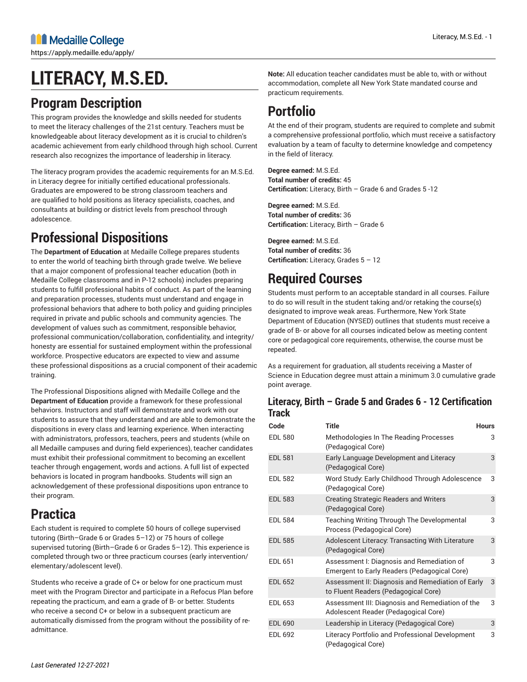# **LITERACY, M.S.ED.**

### **Program Description**

This program provides the knowledge and skills needed for students to meet the literacy challenges of the 21st century. Teachers must be knowledgeable about literacy development as it is crucial to children's academic achievement from early childhood through high school. Current research also recognizes the importance of leadership in literacy.

The literacy program provides the academic requirements for an M.S.Ed. in Literacy degree for initially certified educational professionals. Graduates are empowered to be strong classroom teachers and are qualified to hold positions as literacy specialists, coaches, and consultants at building or district levels from preschool through adolescence.

## **Professional Dispositions**

The **Department of Education** at Medaille College prepares students to enter the world of teaching birth through grade twelve. We believe that a major component of professional teacher education (both in Medaille College classrooms and in P-12 schools) includes preparing students to fulfill professional habits of conduct. As part of the learning and preparation processes, students must understand and engage in professional behaviors that adhere to both policy and guiding principles required in private and public schools and community agencies. The development of values such as commitment, responsible behavior, professional communication/collaboration, confidentiality, and integrity/ honesty are essential for sustained employment within the professional workforce. Prospective educators are expected to view and assume these professional dispositions as a crucial component of their academic training.

The Professional Dispositions aligned with Medaille College and the **Department of Education** provide a framework for these professional behaviors. Instructors and staff will demonstrate and work with our students to assure that they understand and are able to demonstrate the dispositions in every class and learning experience. When interacting with administrators, professors, teachers, peers and students (while on all Medaille campuses and during field experiences), teacher candidates must exhibit their professional commitment to becoming an excellent teacher through engagement, words and actions. A full list of expected behaviors is located in program handbooks. Students will sign an acknowledgement of these professional dispositions upon entrance to their program.

### **Practica**

Each student is required to complete 50 hours of college supervised tutoring (Birth–Grade 6 or Grades 5–12) or 75 hours of college supervised tutoring (Birth–Grade 6 or Grades 5–12). This experience is completed through two or three practicum courses (early intervention/ elementary/adolescent level).

Students who receive a grade of C+ or below for one practicum must meet with the Program Director and participate in a Refocus Plan before repeating the practicum, and earn a grade of B- or better. Students who receive a second C+ or below in a subsequent practicum are automatically dismissed from the program without the possibility of readmittance.

**Note:** All education teacher candidates must be able to, with or without accommodation, complete all New York State mandated course and practicum requirements.

### **Portfolio**

At the end of their program, students are required to complete and submit a comprehensive professional portfolio, which must receive a satisfactory evaluation by a team of faculty to determine knowledge and competency in the field of literacy.

**Degree earned:** M.S.Ed. **Total number of credits:** 45 **Certification:** Literacy, Birth – Grade 6 and Grades 5 -12

**Degree earned:** M.S.Ed. **Total number of credits:** 36 **Certification:** Literacy, Birth – Grade 6

**Degree earned:** M.S.Ed. **Total number of credits:** 36 **Certification:** Literacy, Grades 5 – 12

### **Required Courses**

Students must perform to an acceptable standard in all courses. Failure to do so will result in the student taking and/or retaking the course(s) designated to improve weak areas. Furthermore, New York State Department of Education (NYSED) outlines that students must receive a grade of B- or above for all courses indicated below as meeting content core or pedagogical core requirements, otherwise, the course must be repeated.

As a requirement for graduation, all students receiving a Master of Science in Education degree must attain a minimum 3.0 cumulative grade point average.

#### **Literacy, Birth – Grade 5 and Grades 6 - 12 Certification Track**

| Code           | <b>Title</b>                                                                               | <b>Hours</b> |
|----------------|--------------------------------------------------------------------------------------------|--------------|
| <b>EDL 580</b> | Methodologies In The Reading Processes<br>(Pedagogical Core)                               | 3            |
| <b>EDL 581</b> | Early Language Development and Literacy<br>(Pedagogical Core)                              | 3            |
| <b>EDL 582</b> | Word Study: Early Childhood Through Adolescence<br>(Pedagogical Core)                      | 3            |
| <b>EDL 583</b> | <b>Creating Strategic Readers and Writers</b><br>(Pedagogical Core)                        | 3            |
| <b>EDL 584</b> | Teaching Writing Through The Developmental<br>Process (Pedagogical Core)                   | 3            |
| <b>EDL 585</b> | Adolescent Literacy: Transacting With Literature<br>(Pedagogical Core)                     | 3            |
| <b>EDL 651</b> | Assessment I: Diagnosis and Remediation of<br>Emergent to Early Readers (Pedagogical Core) | 3            |
| <b>EDL 652</b> | Assessment II: Diagnosis and Remediation of Early<br>to Fluent Readers (Pedagogical Core)  | 3            |
| <b>EDL 653</b> | Assessment III: Diagnosis and Remediation of the<br>Adolescent Reader (Pedagogical Core)   | 3            |
| <b>EDL 690</b> | Leadership in Literacy (Pedagogical Core)                                                  | 3            |
| <b>EDL 692</b> | Literacy Portfolio and Professional Development<br>(Pedagogical Core)                      | 3            |